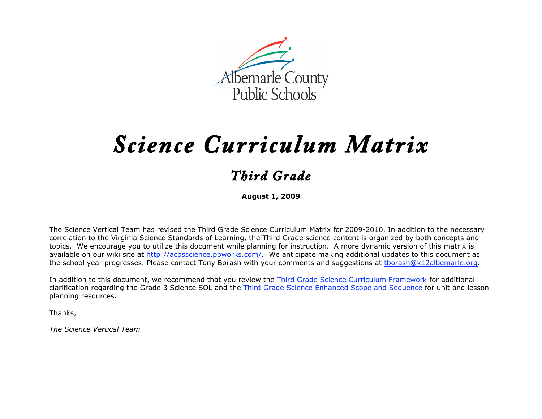

# *Science Curriculum Matrix*

# *Third Grade*

**August 1, 2009**

The Science Vertical Team has revised the Third Grade Science Curriculum Matrix for 2009-2010. In addition to the necessary correlation to the Virginia Science Standards of Learning, the Third Grade science content is organized by both concepts and topics. We encourage you to utilize this document while planning for instruction. A more dynamic version of this matrix is available on our wiki site at http://acpsscience.pbworks.com/. We anticipate making additional updates to this document as the school year progresses. Please contact Tony Borash with your comments and suggestions at tborash@k12albemarle.org.

In addition to this document, we recommend that you review the Third Grade Science Curriculum Framework for additional clarification regarding the Grade 3 Science SOL and the Third Grade Science Enhanced Scope and Sequence for unit and lesson planning resources.

Thanks,

*The Science Vertical Team*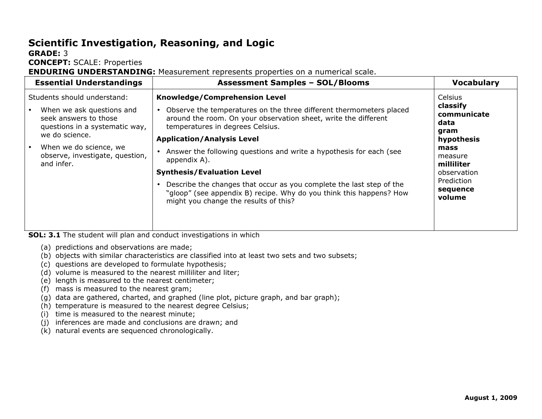## **Scientific Investigation, Reasoning, and Logic**

#### **GRADE:** 3

**CONCEPT:** SCALE: Properties

**ENDURING UNDERSTANDING:** Measurement represents properties on a numerical scale.

| <b>Essential Understandings</b>                                                                                                                                 | <b>Assessment Samples - SOL/Blooms</b>                                                                                                                                                                                                                                                                                               | <b>Vocabulary</b>                                                               |
|-----------------------------------------------------------------------------------------------------------------------------------------------------------------|--------------------------------------------------------------------------------------------------------------------------------------------------------------------------------------------------------------------------------------------------------------------------------------------------------------------------------------|---------------------------------------------------------------------------------|
| Students should understand:<br>When we ask questions and<br>seek answers to those<br>questions in a systematic way,<br>we do science.<br>When we do science, we | Knowledge/Comprehension Level<br>Observe the temperatures on the three different thermometers placed<br>$\bullet$<br>around the room. On your observation sheet, write the different<br>temperatures in degrees Celsius.<br><b>Application/Analysis Level</b><br>Answer the following questions and write a hypothesis for each (see | <b>Celsius</b><br>classify<br>communicate<br>data<br>gram<br>hypothesis<br>mass |
| observe, investigate, question,<br>and infer.<br>$\overline{a}$                                                                                                 | appendix A).<br><b>Synthesis/Evaluation Level</b><br>Describe the changes that occur as you complete the last step of the<br>"gloop" (see appendix B) recipe. Why do you think this happens? How<br>might you change the results of this?                                                                                            | measure<br>milliliter<br>observation<br>Prediction<br>sequence<br>volume        |

**SOL: 3.1** The student will plan and conduct investigations in which

- (a) predictions and observations are made;
- (b) objects with similar characteristics are classified into at least two sets and two subsets;
- (c) questions are developed to formulate hypothesis;
- (d) volume is measured to the nearest milliliter and liter;
- (e) length is measured to the nearest centimeter;
- (f) mass is measured to the nearest gram;
- $(g)$  data are gathered, charted, and graphed (line plot, picture graph, and bar graph);
- (h) temperature is measured to the nearest degree Celsius;
- (i) time is measured to the nearest minute;
- (j) inferences are made and conclusions are drawn; and
- (k) natural events are sequenced chronologically.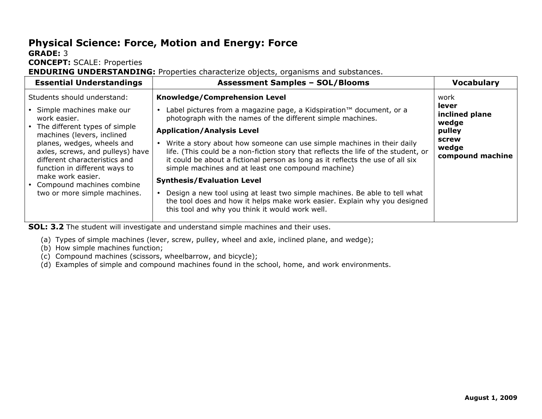# **Physical Science: Force, Motion and Energy: Force**

#### **GRADE:** 3

**CONCEPT:** SCALE: Properties

**ENDURING UNDERSTANDING:** Properties characterize objects, organisms and substances.

| <b>Essential Understandings</b>                                                                                                                                      | <b>Assessment Samples - SOL/Blooms</b>                                                                                                                                                                                                                                                    | <b>Vocabulary</b>                                           |
|----------------------------------------------------------------------------------------------------------------------------------------------------------------------|-------------------------------------------------------------------------------------------------------------------------------------------------------------------------------------------------------------------------------------------------------------------------------------------|-------------------------------------------------------------|
| Students should understand:<br>Simple machines make our<br>work easier.<br>The different types of simple<br>machines (levers, inclined<br>planes, wedges, wheels and | <b>Knowledge/Comprehension Level</b><br>Label pictures from a magazine page, a Kidspiration™ document, or a<br>photograph with the names of the different simple machines.<br><b>Application/Analysis Level</b><br>Write a story about how someone can use simple machines in their daily | work<br>lever<br>inclined plane<br>wedge<br>pulley<br>screw |
| axles, screws, and pulleys) have<br>different characteristics and<br>function in different ways to                                                                   | life. (This could be a non-fiction story that reflects the life of the student, or<br>it could be about a fictional person as long as it reflects the use of all six<br>simple machines and at least one compound machine)                                                                | wedge<br>compound machine                                   |
| make work easier.<br>Compound machines combine<br>two or more simple machines.                                                                                       | <b>Synthesis/Evaluation Level</b><br>Design a new tool using at least two simple machines. Be able to tell what<br>the tool does and how it helps make work easier. Explain why you designed<br>this tool and why you think it would work well.                                           |                                                             |

**SOL: 3.2** The student will investigate and understand simple machines and their uses.

- (a) Types of simple machines (lever, screw, pulley, wheel and axle, inclined plane, and wedge);
- (b) How simple machines function;
- (c) Compound machines (scissors, wheelbarrow, and bicycle);
- (d) Examples of simple and compound machines found in the school, home, and work environments.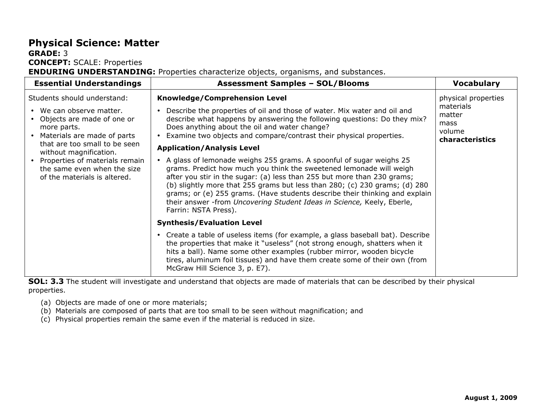#### **Physical Science: Matter GRADE:** 3

**CONCEPT:** SCALE: Properties

**ENDURING UNDERSTANDING:** Properties characterize objects, organisms, and substances.

| <b>Essential Understandings</b>                                                                      | <b>Assessment Samples - SOL/Blooms</b>                                                                                                                                                                                                                                                                                                                                                                                                                                                 | <b>Vocabulary</b>                                        |
|------------------------------------------------------------------------------------------------------|----------------------------------------------------------------------------------------------------------------------------------------------------------------------------------------------------------------------------------------------------------------------------------------------------------------------------------------------------------------------------------------------------------------------------------------------------------------------------------------|----------------------------------------------------------|
| Students should understand:                                                                          | <b>Knowledge/Comprehension Level</b>                                                                                                                                                                                                                                                                                                                                                                                                                                                   | physical properties                                      |
| • We can observe matter.<br>Objects are made of one or<br>more parts.<br>Materials are made of parts | Describe the properties of oil and those of water. Mix water and oil and<br>describe what happens by answering the following questions: Do they mix?<br>Does anything about the oil and water change?<br>Examine two objects and compare/contrast their physical properties.                                                                                                                                                                                                           | materials<br>matter<br>mass<br>volume<br>characteristics |
| that are too small to be seen<br>without magnification.                                              | <b>Application/Analysis Level</b>                                                                                                                                                                                                                                                                                                                                                                                                                                                      |                                                          |
| Properties of materials remain<br>the same even when the size<br>of the materials is altered.        | • A glass of lemonade weighs 255 grams. A spoonful of sugar weighs 25<br>grams. Predict how much you think the sweetened lemonade will weigh<br>after you stir in the sugar: (a) less than 255 but more than 230 grams;<br>(b) slightly more that 255 grams but less than 280; (c) 230 grams; (d) 280<br>grams; or (e) 255 grams. (Have students describe their thinking and explain<br>their answer -from Uncovering Student Ideas in Science, Keely, Eberle,<br>Farrin: NSTA Press). |                                                          |
|                                                                                                      | <b>Synthesis/Evaluation Level</b>                                                                                                                                                                                                                                                                                                                                                                                                                                                      |                                                          |
|                                                                                                      | Create a table of useless items (for example, a glass baseball bat). Describe<br>the properties that make it "useless" (not strong enough, shatters when it<br>hits a ball). Name some other examples (rubber mirror, wooden bicycle<br>tires, aluminum foil tissues) and have them create some of their own (from<br>McGraw Hill Science 3, p. E7).                                                                                                                                   |                                                          |

**SOL: 3.3** The student will investigate and understand that objects are made of materials that can be described by their physical properties.

- (a) Objects are made of one or more materials;
- (b) Materials are composed of parts that are too small to be seen without magnification; and
- (c) Physical properties remain the same even if the material is reduced in size.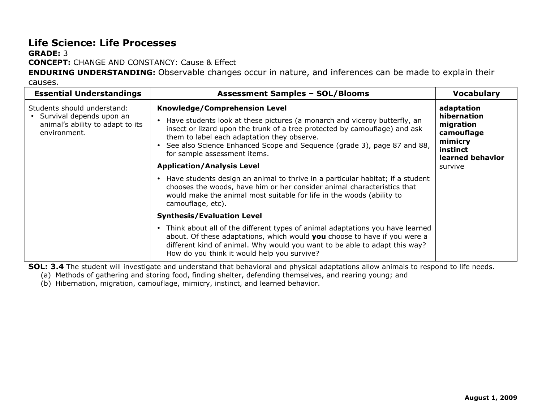## **Life Science: Life Processes**

#### **GRADE:** 3 **CONCEPT:** CHANGE AND CONSTANCY: Cause & Effect

**ENDURING UNDERSTANDING:** Observable changes occur in nature, and inferences can be made to explain their

causes.

| <b>Essential Understandings</b>                                                                               | <b>Assessment Samples - SOL/Blooms</b>                                                                                                                                                                                                                                                                                                               | <b>Vocabulary</b>                                                                               |
|---------------------------------------------------------------------------------------------------------------|------------------------------------------------------------------------------------------------------------------------------------------------------------------------------------------------------------------------------------------------------------------------------------------------------------------------------------------------------|-------------------------------------------------------------------------------------------------|
| Students should understand:<br>• Survival depends upon an<br>animal's ability to adapt to its<br>environment. | Knowledge/Comprehension Level<br>Have students look at these pictures (a monarch and viceroy butterfly, an<br>insect or lizard upon the trunk of a tree protected by camouflage) and ask<br>them to label each adaptation they observe.<br>• See also Science Enhanced Scope and Sequence (grade 3), page 87 and 88,<br>for sample assessment items. | adaptation<br>hibernation<br>migration<br>camouflage<br>mimicry<br>instinct<br>learned behavior |
|                                                                                                               | <b>Application/Analysis Level</b>                                                                                                                                                                                                                                                                                                                    | survive                                                                                         |
|                                                                                                               | Have students design an animal to thrive in a particular habitat; if a student<br>chooses the woods, have him or her consider animal characteristics that<br>would make the animal most suitable for life in the woods (ability to<br>camouflage, etc).                                                                                              |                                                                                                 |
|                                                                                                               | <b>Synthesis/Evaluation Level</b>                                                                                                                                                                                                                                                                                                                    |                                                                                                 |
|                                                                                                               | • Think about all of the different types of animal adaptations you have learned<br>about. Of these adaptations, which would you choose to have if you were a<br>different kind of animal. Why would you want to be able to adapt this way?<br>How do you think it would help you survive?                                                            |                                                                                                 |

**SOL: 3.4** The student will investigate and understand that behavioral and physical adaptations allow animals to respond to life needs.

(a) Methods of gathering and storing food, finding shelter, defending themselves, and rearing young; and

(b) Hibernation, migration, camouflage, mimicry, instinct, and learned behavior.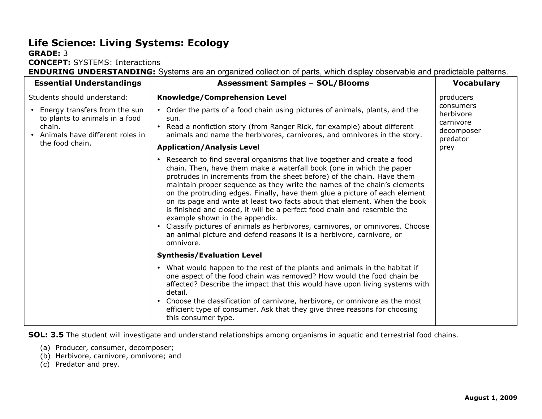# **Life Science: Living Systems: Ecology**

#### **GRADE:** 3

**CONCEPT:** SYSTEMS: Interactions

**ENDURING UNDERSTANDING:** Systems are an organized collection of parts, which display observable and predictable patterns.

| <b>Essential Understandings</b>                                                                                                                                  | <b>Assessment Samples - SOL/Blooms</b>                                                                                                                                                                                                                                                                                                                                                                                                                                                                                                                                                                                                                                                                                                                                                         | <b>Vocabulary</b>                                                          |
|------------------------------------------------------------------------------------------------------------------------------------------------------------------|------------------------------------------------------------------------------------------------------------------------------------------------------------------------------------------------------------------------------------------------------------------------------------------------------------------------------------------------------------------------------------------------------------------------------------------------------------------------------------------------------------------------------------------------------------------------------------------------------------------------------------------------------------------------------------------------------------------------------------------------------------------------------------------------|----------------------------------------------------------------------------|
| Students should understand:<br>Energy transfers from the sun<br>to plants to animals in a food<br>chain.<br>• Animals have different roles in<br>the food chain. | Knowledge/Comprehension Level<br>Order the parts of a food chain using pictures of animals, plants, and the<br>$\bullet$<br>sun.<br>Read a nonfiction story (from Ranger Rick, for example) about different<br>$\bullet$<br>animals and name the herbivores, carnivores, and omnivores in the story.                                                                                                                                                                                                                                                                                                                                                                                                                                                                                           | producers<br>consumers<br>herbivore<br>carnivore<br>decomposer<br>predator |
|                                                                                                                                                                  | <b>Application/Analysis Level</b><br>• Research to find several organisms that live together and create a food<br>chain. Then, have them make a waterfall book (one in which the paper<br>protrudes in increments from the sheet before) of the chain. Have them<br>maintain proper sequence as they write the names of the chain's elements<br>on the protruding edges. Finally, have them glue a picture of each element<br>on its page and write at least two facts about that element. When the book<br>is finished and closed, it will be a perfect food chain and resemble the<br>example shown in the appendix.<br>• Classify pictures of animals as herbivores, carnivores, or omnivores. Choose<br>an animal picture and defend reasons it is a herbivore, carnivore, or<br>omnivore. | prey                                                                       |
|                                                                                                                                                                  | <b>Synthesis/Evaluation Level</b><br>What would happen to the rest of the plants and animals in the habitat if<br>one aspect of the food chain was removed? How would the food chain be<br>affected? Describe the impact that this would have upon living systems with<br>detail.<br>• Choose the classification of carnivore, herbivore, or omnivore as the most<br>efficient type of consumer. Ask that they give three reasons for choosing<br>this consumer type.                                                                                                                                                                                                                                                                                                                          |                                                                            |

**SOL: 3.5** The student will investigate and understand relationships among organisms in aquatic and terrestrial food chains.

- (a) Producer, consumer, decomposer;
- (b) Herbivore, carnivore, omnivore; and
- (c) Predator and prey.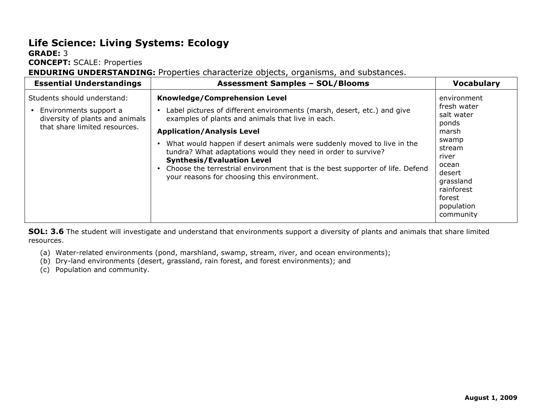# **Life Science: Living Systems: Ecology**

#### **GRADE:** 3

**CONCEPT:** SCALE: Properties

**ENDURING UNDERSTANDING:** Properties characterize objects, organisms, and substances.

| <b>Essential Understandings</b>                                                                                           | <b>Assessment Samples - SOL/Blooms</b>                                                                                                                                                                                                                                                                                                                                                                                                                                                                             | <b>Vocabulary</b>                                                                                                                                                         |
|---------------------------------------------------------------------------------------------------------------------------|--------------------------------------------------------------------------------------------------------------------------------------------------------------------------------------------------------------------------------------------------------------------------------------------------------------------------------------------------------------------------------------------------------------------------------------------------------------------------------------------------------------------|---------------------------------------------------------------------------------------------------------------------------------------------------------------------------|
| Students should understand:<br>Environments support a<br>diversity of plants and animals<br>that share limited resources. | Knowledge/Comprehension Level<br>Label pictures of different environments (marsh, desert, etc.) and give<br>examples of plants and animals that live in each.<br><b>Application/Analysis Level</b><br>What would happen if desert animals were suddenly moved to live in the<br>tundra? What adaptations would they need in order to survive?<br><b>Synthesis/Evaluation Level</b><br>Choose the terrestrial environment that is the best supporter of life. Defend<br>your reasons for choosing this environment. | environment<br>fresh water<br>salt water<br>ponds<br>marsh<br>swamp<br>stream<br>river<br>ocean<br>desert<br>grassland<br>rainforest<br>forest<br>population<br>community |

**SOL: 3.6** The student will investigate and understand that environments support a diversity of plants and animals that share limited resources.

- (a) Water-related environments (pond, marshland, swamp, stream, river, and ocean environments);
- (b) Dry-land environments (desert, grassland, rain forest, and forest environments); and
- (c) Population and community.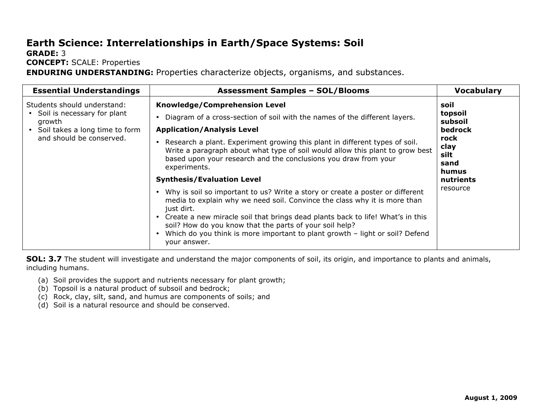# **Earth Science: Interrelationships in Earth/Space Systems: Soil**

**GRADE:** 3

**CONCEPT:** SCALE: Properties

**ENDURING UNDERSTANDING:** Properties characterize objects, organisms, and substances.

| <b>Essential Understandings</b>                                                                                                        | <b>Assessment Samples - SOL/Blooms</b>                                                                                                                                                                                                                                                                                                                                                                                                                                                                                                                                                                                                                                                                                                                                                                                                                                                    | <b>Vocabulary</b>                                                                                       |
|----------------------------------------------------------------------------------------------------------------------------------------|-------------------------------------------------------------------------------------------------------------------------------------------------------------------------------------------------------------------------------------------------------------------------------------------------------------------------------------------------------------------------------------------------------------------------------------------------------------------------------------------------------------------------------------------------------------------------------------------------------------------------------------------------------------------------------------------------------------------------------------------------------------------------------------------------------------------------------------------------------------------------------------------|---------------------------------------------------------------------------------------------------------|
| Students should understand:<br>• Soil is necessary for plant<br>growth<br>• Soil takes a long time to form<br>and should be conserved. | <b>Knowledge/Comprehension Level</b><br>Diagram of a cross-section of soil with the names of the different layers.<br><b>Application/Analysis Level</b><br>Research a plant. Experiment growing this plant in different types of soil.<br>$\bullet$<br>Write a paragraph about what type of soil would allow this plant to grow best<br>based upon your research and the conclusions you draw from your<br>experiments.<br><b>Synthesis/Evaluation Level</b><br>• Why is soil so important to us? Write a story or create a poster or different<br>media to explain why we need soil. Convince the class why it is more than<br>just dirt.<br>• Create a new miracle soil that brings dead plants back to life! What's in this<br>soil? How do you know that the parts of your soil help?<br>Which do you think is more important to plant growth - light or soil? Defend<br>your answer. | soil<br>topsoil<br>subsoil<br>bedrock<br>rock<br>clay<br>silt<br>sand<br>humus<br>nutrients<br>resource |

**SOL: 3.7** The student will investigate and understand the major components of soil, its origin, and importance to plants and animals, including humans.

- (a) Soil provides the support and nutrients necessary for plant growth;
- (b) Topsoil is a natural product of subsoil and bedrock;
- (c) Rock, clay, silt, sand, and humus are components of soils; and
- (d) Soil is a natural resource and should be conserved.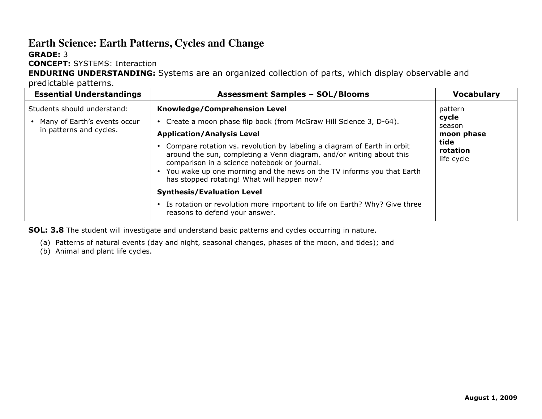#### **Earth Science: Earth Patterns, Cycles and Change GRADE:** 3

**CONCEPT:** SYSTEMS: Interaction

**ENDURING UNDERSTANDING:** Systems are an organized collection of parts, which display observable and

predictable patterns.

| <b>Essential Understandings</b>                                                          | <b>Assessment Samples - SOL/Blooms</b>                                                                                                                                                                                                                                                                                                                                                                                                                               | <b>Vocabulary</b>                                                          |
|------------------------------------------------------------------------------------------|----------------------------------------------------------------------------------------------------------------------------------------------------------------------------------------------------------------------------------------------------------------------------------------------------------------------------------------------------------------------------------------------------------------------------------------------------------------------|----------------------------------------------------------------------------|
| Students should understand:<br>• Many of Earth's events occur<br>in patterns and cycles. | Knowledge/Comprehension Level<br>Create a moon phase flip book (from McGraw Hill Science 3, D-64).<br><b>Application/Analysis Level</b><br>Compare rotation vs. revolution by labeling a diagram of Earth in orbit<br>around the sun, completing a Venn diagram, and/or writing about this<br>comparison in a science notebook or journal.<br>• You wake up one morning and the news on the TV informs you that Earth<br>has stopped rotating! What will happen now? | pattern<br>cycle<br>season<br>moon phase<br>tide<br>rotation<br>life cycle |
|                                                                                          | <b>Synthesis/Evaluation Level</b>                                                                                                                                                                                                                                                                                                                                                                                                                                    |                                                                            |
|                                                                                          | • Is rotation or revolution more important to life on Earth? Why? Give three<br>reasons to defend your answer.                                                                                                                                                                                                                                                                                                                                                       |                                                                            |

**SOL: 3.8** The student will investigate and understand basic patterns and cycles occurring in nature.

(a) Patterns of natural events (day and night, seasonal changes, phases of the moon, and tides); and

(b) Animal and plant life cycles.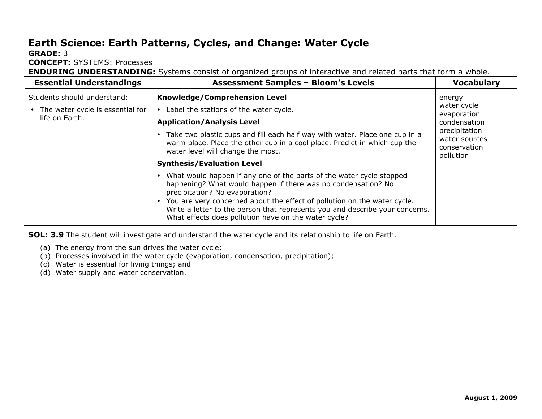## **Earth Science: Earth Patterns, Cycles, and Change: Water Cycle**

#### **GRADE:** 3

**CONCEPT:** SYSTEMS: Processes

**ENDURING UNDERSTANDING:** Systems consist of organized groups of interactive and related parts that form a whole.

| <b>Essential Understandings</b>                                                   | <b>Assessment Samples - Bloom's Levels</b>                                                                                                                                                                                                                                                                                                                                                                                                                                                                                    | <b>Vocabulary</b>                                                                                                   |
|-----------------------------------------------------------------------------------|-------------------------------------------------------------------------------------------------------------------------------------------------------------------------------------------------------------------------------------------------------------------------------------------------------------------------------------------------------------------------------------------------------------------------------------------------------------------------------------------------------------------------------|---------------------------------------------------------------------------------------------------------------------|
| Students should understand:<br>The water cycle is essential for<br>life on Earth. | Knowledge/Comprehension Level<br>Label the stations of the water cycle.<br><b>Application/Analysis Level</b><br>Take two plastic cups and fill each half way with water. Place one cup in a<br>warm place. Place the other cup in a cool place. Predict in which cup the<br>water level will change the most.<br><b>Synthesis/Evaluation Level</b><br>What would happen if any one of the parts of the water cycle stopped<br>happening? What would happen if there was no condensation? No<br>precipitation? No evaporation? | energy<br>water cycle<br>evaporation<br>condensation<br>precipitation<br>water sources<br>conservation<br>pollution |
|                                                                                   | • You are very concerned about the effect of pollution on the water cycle.<br>Write a letter to the person that represents you and describe your concerns.<br>What effects does pollution have on the water cycle?                                                                                                                                                                                                                                                                                                            |                                                                                                                     |

**SOL: 3.9** The student will investigate and understand the water cycle and its relationship to life on Earth.

- (a) The energy from the sun drives the water cycle;
- (b) Processes involved in the water cycle (evaporation, condensation, precipitation);
- (c) Water is essential for living things; and
- (d) Water supply and water conservation.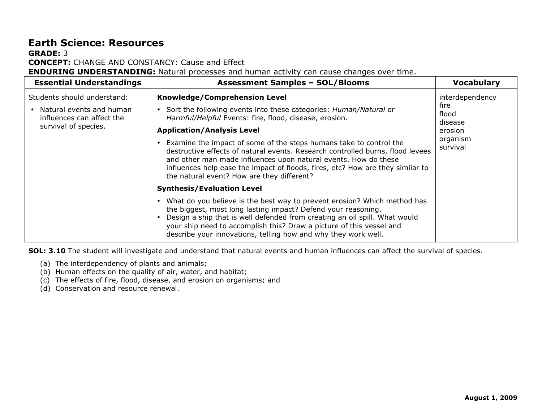#### **Earth Science: Resources GRADE:** 3 **CONCEPT:** CHANGE AND CONSTANCY: Cause and Effect

**ENDURING UNDERSTANDING:** Natural processes and human activity can cause changes over time.

| <b>Essential Understandings</b>                                                                              | <b>Assessment Samples - SOL/Blooms</b>                                                                                                                                                                                                                                                                                                                                                                                                                                                                                                                       | <b>Vocabulary</b>                                                              |
|--------------------------------------------------------------------------------------------------------------|--------------------------------------------------------------------------------------------------------------------------------------------------------------------------------------------------------------------------------------------------------------------------------------------------------------------------------------------------------------------------------------------------------------------------------------------------------------------------------------------------------------------------------------------------------------|--------------------------------------------------------------------------------|
| Students should understand:<br>Natural events and human<br>influences can affect the<br>survival of species. | Knowledge/Comprehension Level<br>Sort the following events into these categories: Human/Natural or<br>Harmful/Helpful Events: fire, flood, disease, erosion.<br><b>Application/Analysis Level</b><br>Examine the impact of some of the steps humans take to control the<br>destructive effects of natural events. Research controlled burns, flood levees<br>and other man made influences upon natural events. How do these<br>influences help ease the impact of floods, fires, etc? How are they similar to<br>the natural event? How are they different? | interdependency<br>fire<br>flood<br>disease<br>erosion<br>organism<br>survival |
|                                                                                                              | <b>Synthesis/Evaluation Level</b><br>What do you believe is the best way to prevent erosion? Which method has<br>the biggest, most long lasting impact? Defend your reasoning.<br>Design a ship that is well defended from creating an oil spill. What would<br>your ship need to accomplish this? Draw a picture of this vessel and<br>describe your innovations, telling how and why they work well.                                                                                                                                                       |                                                                                |

**SOL: 3.10** The student will investigate and understand that natural events and human influences can affect the survival of species.

- (a) The interdependency of plants and animals;
- (b) Human effects on the quality of air, water, and habitat;
- (c) The effects of fire, flood, disease, and erosion on organisms; and
- (d) Conservation and resource renewal.